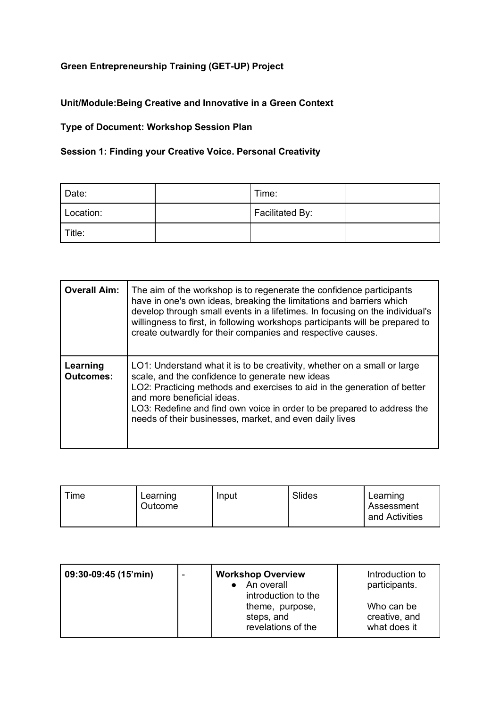## **Green Entrepreneurship Training (GET-UP) Project**

## **Unit/Module:Being Creative and Innovative in a Green Context**

## **Type of Document: Workshop Session Plan**

## **Session 1: Finding your Creative Voice. Personal Creativity**

| Date:     | Time:           |  |
|-----------|-----------------|--|
| Location: | Facilitated By: |  |
| Title:    |                 |  |

| <b>Overall Aim:</b>          | The aim of the workshop is to regenerate the confidence participants<br>have in one's own ideas, breaking the limitations and barriers which<br>develop through small events in a lifetimes. In focusing on the individual's<br>willingness to first, in following workshops participants will be prepared to<br>create outwardly for their companies and respective causes. |
|------------------------------|------------------------------------------------------------------------------------------------------------------------------------------------------------------------------------------------------------------------------------------------------------------------------------------------------------------------------------------------------------------------------|
| Learning<br><b>Outcomes:</b> | LO1: Understand what it is to be creativity, whether on a small or large<br>scale, and the confidence to generate new ideas<br>LO2: Practicing methods and exercises to aid in the generation of better<br>and more beneficial ideas.<br>LO3: Redefine and find own voice in order to be prepared to address the<br>needs of their businesses, market, and even daily lives  |

| $T$ ime<br>Learning<br>Outcome | Input | Slides | Learning<br>Assessment<br>and Activities |
|--------------------------------|-------|--------|------------------------------------------|
|--------------------------------|-------|--------|------------------------------------------|

| 09:30-09:45 (15'min) | - | <b>Workshop Overview</b><br>An overall<br>introduction to the<br>theme, purpose,<br>steps, and | Introduction to<br>participants.<br>Who can be<br>creative, and |
|----------------------|---|------------------------------------------------------------------------------------------------|-----------------------------------------------------------------|
|                      |   | revelations of the                                                                             | what does it                                                    |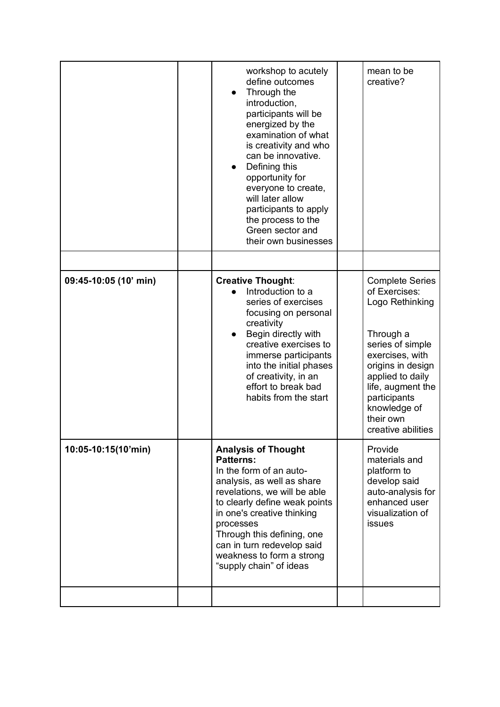|                       | workshop to acutely<br>define outcomes<br>Through the<br>introduction,<br>participants will be<br>energized by the<br>examination of what<br>is creativity and who<br>can be innovative.<br>Defining this<br>opportunity for<br>everyone to create,<br>will later allow<br>participants to apply<br>the process to the<br>Green sector and<br>their own businesses | mean to be<br>creative?                                                                                                                                                                                                                         |
|-----------------------|--------------------------------------------------------------------------------------------------------------------------------------------------------------------------------------------------------------------------------------------------------------------------------------------------------------------------------------------------------------------|-------------------------------------------------------------------------------------------------------------------------------------------------------------------------------------------------------------------------------------------------|
| 09:45-10:05 (10' min) | <b>Creative Thought:</b><br>Introduction to a<br>series of exercises<br>focusing on personal<br>creativity<br>Begin directly with<br>creative exercises to<br>immerse participants<br>into the initial phases<br>of creativity, in an<br>effort to break bad<br>habits from the start                                                                              | <b>Complete Series</b><br>of Exercises:<br>Logo Rethinking<br>Through a<br>series of simple<br>exercises, with<br>origins in design<br>applied to daily<br>life, augment the<br>participants<br>knowledge of<br>their own<br>creative abilities |
| 10:05-10:15(10'min)   | <b>Analysis of Thought</b><br><b>Patterns:</b><br>In the form of an auto-<br>analysis, as well as share<br>revelations, we will be able<br>to clearly define weak points<br>in one's creative thinking<br>processes<br>Through this defining, one<br>can in turn redevelop said<br>weakness to form a strong<br>"supply chain" of ideas                            | Provide<br>materials and<br>platform to<br>develop said<br>auto-analysis for<br>enhanced user<br>visualization of<br>issues                                                                                                                     |